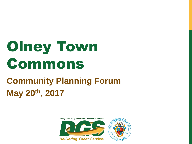# Olney Town Commons

#### **Community Planning Forum May 20th, 2017**

Montgomery County DEPARTMENT OF GENERAL SERVICES



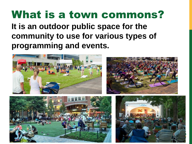#### What is a town commons? **It is an outdoor public space for the community to use for various types of programming and events.**

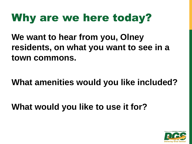### Why are we here today?

**We want to hear from you, Olney residents, on what you want to see in a town commons.**

**What amenities would you like included?**

**What would you like to use it for?**

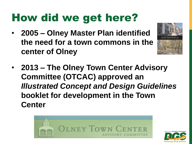## How did we get here?

• **2005 – Olney Master Plan identified the need for a town commons in the center of Olney**



• **2013 – The Olney Town Center Advisory Committee (OTCAC) approved an**  *Illustrated Concept and Design Guidelines*  **booklet for development in the Town Center**



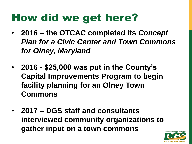### How did we get here?

- **2016 – the OTCAC completed its** *Concept Plan for a Civic Center and Town Commons for Olney, Maryland*
- **2016 - \$25,000 was put in the County's Capital Improvements Program to begin facility planning for an Olney Town Commons**
- **2017 – DGS staff and consultants interviewed community organizations to gather input on a town commons**

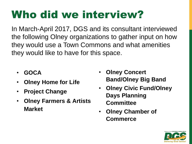# Who did we interview?

In March-April 2017, DGS and its consultant interviewed the following Olney organizations to gather input on how they would use a Town Commons and what amenities they would like to have for this space.

- **GOCA**
- **Olney Home for Life**
- **Project Change**
- **Olney Farmers & Artists Market**
- **Olney Concert Band/Olney Big Band**
- **Olney Civic Fund/Olney Days Planning Committee**
- **Olney Chamber of Commerce**

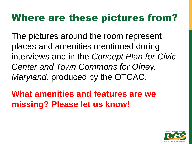#### Where are these pictures from?

The pictures around the room represent places and amenities mentioned during interviews and in the *Concept Plan for Civic Center and Town Commons for Olney, Maryland*, produced by the OTCAC.

**What amenities and features are we missing? Please let us know!**

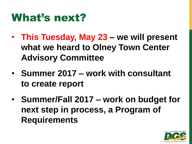#### What's next?

- **This Tuesday, May 23 – we will present what we heard to Olney Town Center Advisory Committee**
- **Summer 2017 – work with consultant to create report**
- **Summer/Fall 2017 – work on budget for next step in process, a Program of Requirements**